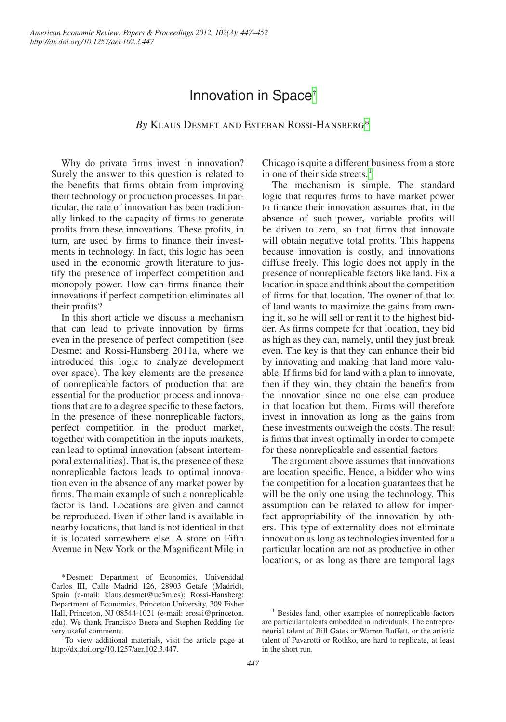# Innovation in Space[†](#page-0-0)

# *By* Klaus Desmet and Esteban Rossi-Hansberg[\\*](#page-0-1)

Why do private firms invest in innovation? Surely the answer to this question is related to the benefits that firms obtain from improving their technology or production processes. In particular, the rate of innovation has been traditionally linked to the capacity of firms to generate profits from these innovations. These profits, in turn, are used by firms to finance their investments in technology. In fact, this logic has been used in the economic growth literature to justify the presence of imperfect competition and monopoly power. How can firms finance their innovations if perfect competition eliminates all their profits?

In this short article we discuss a mechanism that can lead to private innovation by firms even in the presence of perfect competition (see Desmet and Rossi-Hansberg 2011a, where we introduced this logic to analyze development over space). The key elements are the presence of nonreplicable factors of production that are essential for the production process and innovations that are to a degree specific to these factors. In the presence of these nonreplicable factors, perfect competition in the product market, together with competition in the inputs markets, can lead to optimal innovation (absent intertemporal externalities). That is, the presence of these nonreplicable factors leads to optimal innovation even in the absence of any market power by firms. The main example of such a nonreplicable factor is land. Locations are given and cannot be reproduced. Even if other land is available in nearby locations, that land is not identical in that it is located somewhere else. A store on Fifth Avenue in New York or the Magnificent Mile in

<span id="page-0-0"></span>[http://dx.doi.org/10.1257/aer.102](http://dx.doi.org/10.1257/aer.102.3.447).3.447.

Chicago is quite a different business from a store in one of their side streets.<sup>[1](#page-0-2)</sup>

The mechanism is simple. The standard logic that requires firms to have market power to finance their innovation assumes that, in the absence of such power, variable profits will be driven to zero, so that firms that innovate will obtain negative total profits. This happens because innovation is costly, and innovations diffuse freely. This logic does not apply in the presence of nonreplicable factors like land. Fix a location in space and think about the competition of firms for that location. The owner of that lot of land wants to maximize the gains from owning it, so he will sell or rent it to the highest bidder. As firms compete for that location, they bid as high as they can, namely, until they just break even. The key is that they can enhance their bid by innovating and making that land more valuable. If firms bid for land with a plan to innovate, then if they win, they obtain the benefits from the innovation since no one else can produce in that location but them. Firms will therefore invest in innovation as long as the gains from these investments outweigh the costs. The result is firms that invest optimally in order to compete for these nonreplicable and essential factors.

The argument above assumes that innovations are location specific. Hence, a bidder who wins the competition for a location guarantees that he will be the only one using the technology. This assumption can be relaxed to allow for imperfect appropriability of the innovation by others. This type of externality does not eliminate innovation as long as technologies invented for a particular location are not as productive in other locations, or as long as there are temporal lags

<span id="page-0-1"></span><sup>\*</sup>Desmet: Department of Economics, Universidad Carlos III, Calle Madrid 126, 28903 Getafe (Madrid), Spain (e-mail: [klaus.desmet@uc3m.es](mailto:klaus.desmet@uc3m.es)); Rossi-Hansberg: Department of Economics, Princeton University, 309 Fisher Hall, Princeton, NJ 08544-1021 (e-mail: [erossi@princeton.](mailto:erossi@princeton.edu) [edu](mailto:erossi@princeton.edu)). We thank Francisco Buera and Stephen Redding for very useful comments.<br> $\dagger$ To view additional materials, visit the article page at

<span id="page-0-2"></span><sup>&</sup>lt;sup>1</sup> Besides land, other examples of nonreplicable factors are particular talents embedded in individuals. The entrepreneurial talent of Bill Gates or Warren Buffett, or the artistic talent of Pavarotti or Rothko, are hard to replicate, at least in the short run.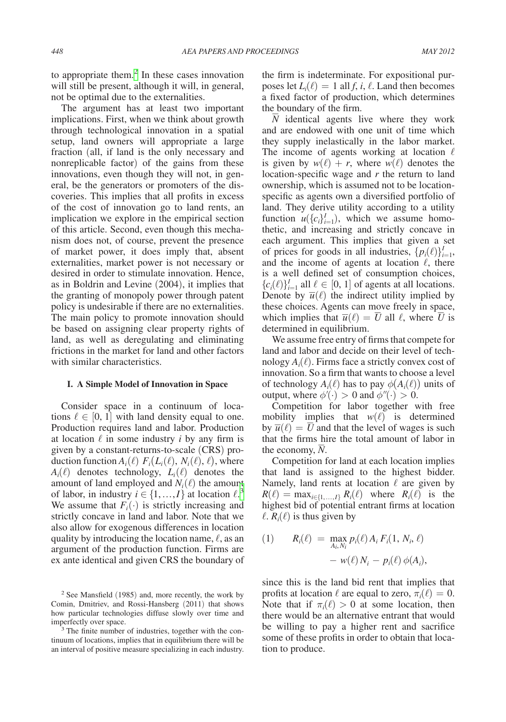<span id="page-1-0"></span>to appropriate them. $2$  In these cases innovation will still be present, although it will, in general, not be optimal due to the externalities.

The argument has at least two important implications. First, when we think about growth through technological innovation in a spatial setup, land owners will appropriate a large fraction (all, if land is the only necessary and nonreplicable factor) of the gains from these innovations, even though they will not, in general, be the generators or promoters of the discoveries. This implies that all profits in excess of the cost of innovation go to land rents, an implication we explore in the empirical section of this article. Second, even though this mechanism does not, of course, prevent the presence of market power, it does imply that, absent externalities, market power is not necessary or desired in order to stimulate innovation. Hence, as in Boldrin and Levine (2004), it implies that the granting of monopoly power through patent policy is undesirable if there are no externalities. The main policy to promote innovation should be based on assigning clear property rights of land, as well as deregulating and eliminating frictions in the market for land and other factors with similar characteristics.

#### **I. A Simple Model of Innovation in Space**

Consider space in a continuum of locations  $\ell \in [0, 1]$  with land density equal to one. Production requires land and labor. Production at location  $\ell$  in some industry  $i$  by any firm is given by a constant-returns-to-scale (CRS) production function  $A_i(\ell)$   $F_i(L_i(\ell), N_i(\ell), \ell)$ , where  $A_i(\ell)$  denotes technology,  $L_i(\ell)$  denotes the amount of land employed and  $N_i(\ell)$  the amount of labor, in industry  $i \in \{1, ..., I\}$  at location  $\ell$ <sup>[3](#page-1-2)</sup>. We assume that  $F_i(\cdot)$  is strictly increasing and strictly concave in land and labor. Note that we also allow for exogenous differences in location quality by introducing the location name,  $\ell$ , as an argument of the production function. Firms are ex ante identical and given CRS the boundary of

the firm is indeterminate. For expositional purposes let  $L_i(\ell) = 1$  all *f*, *i*,  $\ell$ . Land then becomes a fixed factor of production, which determines the boundary of the firm. \_

*N* identical agents live where they work and are endowed with one unit of time which they supply inelastically in the labor market. The income of agents working at location  $\ell$ is given by  $w(\ell) + r$ , where  $w(\ell)$  denotes the location-specific wage and *r* the return to land ownership, which is assumed not to be locationspecific as agents own a diversified portfolio of land. They derive utility according to a utility function  $u({c_i})_{i=1}^I$ , which we assume homothetic, and increasing and strictly concave in each argument. This implies that given a set of prices for goods in all industries,  $\{p_i(\ell)\}_{i=1}^I$ , and the income of agents at location  $\ell$ , there is a well defined set of consumption choices,  ${c_i(\ell)}_{i=1}^I$  all  $\ell \in [0, 1]$  of agents at all locations. Denote by  $\overline{u}(\ell)$  the indirect utility implied by these choices. Agents can move freely in space, which implies that  $\overline{u}(\ell) = \overline{U}$  all  $\ell$ , where  $\overline{U}$  is determined in equilibrium.

We assume free entry of firms that compete for land and labor and decide on their level of technology  $A_i(\ell)$ . Firms face a strictly convex cost of innovation. So a firm that wants to choose a level of technology  $A_i(\ell)$  has to pay  $\phi(A_i(\ell))$  units of output, where  $\phi'(\cdot) > 0$  and  $\phi''(\cdot) > 0$ .

Competition for labor together with free mobility implies that  $w(\ell)$  is determined by  $\overline{u}(\ell) = \overline{U}$  and that the level of wages is such that the firms hire the total amount of labor in the economy,  $\overline{N}$ .

Competition for land at each location implies that land is assigned to the highest bidder. Namely, land rents at location  $\ell$  are given by  $R(\ell) = \max_{i \in \{1, ..., I\}} R_i(\ell)$  where  $R_i(\ell)$  is the highest bid of potential entrant firms at location  $\ell$ .  $R_i(\ell)$  is thus given by

(1) 
$$
R_i(\ell) = \max_{A_i, N_i} p_i(\ell) A_i F_i(1, N_i, \ell)
$$

$$
- w(\ell) N_i - p_i(\ell) \phi(A_i),
$$

since this is the land bid rent that implies that profits at location  $\ell$  are equal to zero,  $\pi_i(\ell) = 0$ . Note that if  $\pi_i(\ell) > 0$  at some location, then there would be an alternative entrant that would be willing to pay a higher rent and sacrifice some of these profits in order to obtain that location to produce.

<span id="page-1-1"></span><sup>2</sup> See Mansfield (1985) and, more recently, the work by Comin, Dmitriev, and Rossi-Hansberg (2011) that shows how particular technologies diffuse slowly over time and

<span id="page-1-2"></span>imperfectly over space. 3 The finite number of industries, together with the continuum of locations, implies that in equilibrium there will be an interval of positive measure specializing in each industry.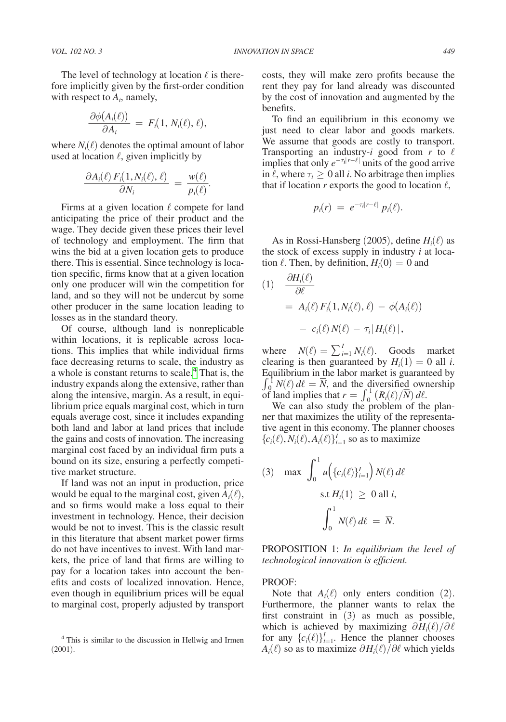The level of technology at location  $\ell$  is therefore implicitly given by the first-order condition<br>with respect to  $A_i$ , namely,<br> $\frac{\partial \phi(A_i(\ell))}{\partial A_i} = F_i(1, N_i(\ell), \ell)$ ,<br>where  $N_i(\ell)$  denotes the optimal amount of labor with respect to  $A_i$ , namely,

$$
\frac{\partial \phi(A_i(\ell))}{\partial A_i} = F_i(1, N_i(\ell), \ell),
$$

where  $N_i(\ell)$  denotes the optimal amount of labor<br>used at location  $\ell$ , given implicitly by<br> $\frac{\partial A_i(\ell) F_i(1, N_i(\ell), \ell)}{\partial N_i} = \frac{w(\ell)}{p_i(\ell)}$ .<br>Firms at a given location  $\ell$  compete for land used at location  $\ell$ , given implicitly by

$$
\frac{\partial A_i(\ell) F_i(1, N_i(\ell), \ell)}{\partial N_i} = \frac{w(\ell)}{p_i(\ell)}.
$$

Firms at a given location  $\ell$  compete for land anticipating the price of their product and the wage. They decide given these prices their level of technology and employment. The firm that wins the bid at a given location gets to produce there. This is essential. Since technology is location specific, firms know that at a given location only one producer will win the competition for land, and so they will not be undercut by some other producer in the same location leading to losses as in the standard theory.

Of course, although land is nonreplicable within locations, it is replicable across locations. This implies that while individual firms face decreasing returns to scale, the industry as a whole is constant returns to scale. $<sup>4</sup>$  $<sup>4</sup>$  $<sup>4</sup>$  That is, the</sup> industry expands along the extensive, rather than along the intensive, margin. As a result, in equilibrium price equals marginal cost, which in turn equals average cost, since it includes expanding both land and labor at land prices that include the gains and costs of innovation. The increasing marginal cost faced by an individual firm puts a bound on its size, ensuring a perfectly competitive market structure.

If land was not an input in production, price would be equal to the marginal cost, given  $A_i(\ell)$ , and so firms would make a loss equal to their investment in technology. Hence, their decision would be not to invest. This is the classic result in this literature that absent market power firms do not have incentives to invest. With land markets, the price of land that firms are willing to pay for a location takes into account the benefits and costs of localized innovation. Hence, even though in equilibrium prices will be equal to marginal cost, properly adjusted by transport

costs, they will make zero profits because the rent they pay for land already was discounted by the cost of innovation and augmented by the benefits.

To find an equilibrium in this economy we just need to clear labor and goods markets. We assume that goods are costly to transport. Transporting an industry-*i* good from  $r$  to  $\ell$ implies that only  $e^{-\tau_i|r-\ell|}$  units of the good arrive in  $\ell$ , where  $\tau_i \geq 0$  all *i*. No arbitrage then implies that if location  $r$  exports the good to location  $\ell$ ,

$$
p_i(r) = e^{-\tau_i|r-\ell|} p_i(\ell).
$$

As in Rossi-Hansberg (2005), define  $H_i(\ell)$  as the stock of excess supply in industry *i* at loca-

tion 
$$
\ell
$$
. Then, by definition,  $H_i(0) = 0$  and  
\n(1) 
$$
\frac{\partial H_i(\ell)}{\partial \ell} = A_i(\ell) F_i(1, N_i(\ell), \ell) - \phi(A_i(\ell)) - c_i(\ell) N(\ell) - \tau_i |H_i(\ell)|,
$$

where  $N(\ell) = \sum_{i=1}^{I} N_i(\ell)$ . Goods market clearing is then guaranteed by  $H_i(1) = 0$  all *i*. Equilibrium in the labor market is guaranteed by  $\int_0^{\overline{1}} N(\ell) d\ell = \overline{N}$ , and the diversified ownership  $\int_0^1 N(\ell) \, d\ell = N$ , and the diversified own<br>of land implies that  $r = \int_0^1 (R_i(\ell)/N) \, d\ell$ .

We can also study the problem of the planner that maximizes the utility of the representative agent in this economy. The planner chooses  ${c_i(\ell), N_i(\ell), A_i(\ell)}_{i=1}^I$  so as to maximize

(3) max 
$$
\int_0^1 u\Big(\{c_i(\ell)\}_{i=1}^I\Big) N(\ell) d\ell
$$
  
s.t  $H_i(1) \ge 0$  all  $i$ ,
$$
\int_0^1 N(\ell) d\ell = \overline{N}.
$$

Proposition 1: *In equilibrium the level of technological innovation is efficient.*

### Proof:

Note that  $A_i(\ell)$  only enters condition (2). Furthermore, the planner wants to relax the first constraint in (3) as much as possible, which is achieved by maximizing  $\partial H_i(\ell)/\partial \ell$ for any  ${c_i(\ell)}_{i=1}^I$ . Hence the planner chooses  $A_i(\ell)$  so as to maximize  $\partial H_i(\ell)/\partial \ell$  which yields

<span id="page-2-0"></span><sup>4</sup> This is similar to the discussion in Hellwig and Irmen (2001).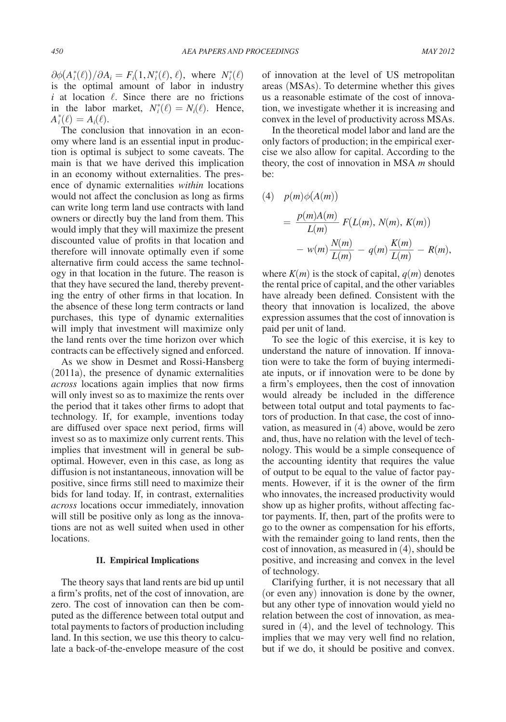<span id="page-3-0"></span> $\partial \phi(A_i^*(\ell))/\partial A_i = F_i(1, N_i^*(\ell), \ell)$ , where  $N_i^*(\ell)$ is the optimal amount of labor in industry  $i$  at location  $\ell$ . Since there are no frictions in the labor market,  $N_i^*(\ell) = N_i(\ell)$ . Hence,  $A_i^*(\ell) = A_i(\ell).$ 

The conclusion that innovation in an economy where land is an essential input in production is optimal is subject to some caveats. The main is that we have derived this implication in an economy without externalities. The presence of dynamic externalities *within* locations would not affect the conclusion as long as firms can write long term land use contracts with land owners or directly buy the land from them. This would imply that they will maximize the present discounted value of profits in that location and therefore will innovate optimally even if some alternative firm could access the same technology in that location in the future. The reason is that they have secured the land, thereby preventing the entry of other firms in that location. In the absence of these long term contracts or land purchases, this type of dynamic externalities will imply that investment will maximize only the land rents over the time horizon over which contracts can be effectively signed and enforced.

As we show in Desmet and Rossi-Hansberg (2011a), the presence of dynamic externalities *across* locations again implies that now firms will only invest so as to maximize the rents over the period that it takes other firms to adopt that technology. If, for example, inventions today are diffused over space next period, firms will invest so as to maximize only current rents. This implies that investment will in general be suboptimal. However, even in this case, as long as diffusion is not instantaneous, innovation will be positive, since firms still need to maximize their bids for land today. If, in contrast, externalities *across* locations occur immediately, innovation will still be positive only as long as the innovations are not as well suited when used in other locations.

#### **II. Empirical Implications**

The theory says that land rents are bid up until a firm's profits, net of the cost of innovation, are zero. The cost of innovation can then be computed as the difference between total output and total payments to factors of production including land. In this section, we use this theory to calculate a back-of-the-envelope measure of the cost of innovation at the level of US metropolitan areas (MSAs). To determine whether this gives us a reasonable estimate of the cost of innovation, we investigate whether it is increasing and convex in the level of productivity across MSAs.

In the theoretical model labor and land are the only factors of production; in the empirical exercise we also allow for capital. According to the theory, the cost of innovation in MSA *m* should be:

$$
(4) p(m)\phi(A(m))
$$

$$
p(m)\phi(A(m))
$$
  
= 
$$
\frac{p(m)A(m)}{L(m)} F(L(m), N(m), K(m))
$$
  

$$
- w(m)\frac{N(m)}{L(m)} - q(m)\frac{K(m)}{L(m)} - R(m),
$$

where  $K(m)$  is the stock of capital,  $q(m)$  denotes the rental price of capital, and the other variables have already been defined. Consistent with the theory that innovation is localized, the above expression assumes that the cost of innovation is paid per unit of land.

To see the logic of this exercise, it is key to understand the nature of innovation. If innovation were to take the form of buying intermediate inputs, or if innovation were to be done by a firm's employees, then the cost of innovation would already be included in the difference between total output and total payments to factors of production. In that case, the cost of innovation, as measured in (4) above, would be zero and, thus, have no relation with the level of technology. This would be a simple consequence of the accounting identity that requires the value of output to be equal to the value of factor payments. However, if it is the owner of the firm who innovates, the increased productivity would show up as higher profits, without affecting factor payments. If, then, part of the profits were to go to the owner as compensation for his efforts, with the remainder going to land rents, then the cost of innovation, as measured in (4), should be positive, and increasing and convex in the level of technology.

Clarifying further, it is not necessary that all (or even any) innovation is done by the owner, but any other type of innovation would yield no relation between the cost of innovation, as measured in (4), and the level of technology. This implies that we may very well find no relation, but if we do, it should be positive and convex.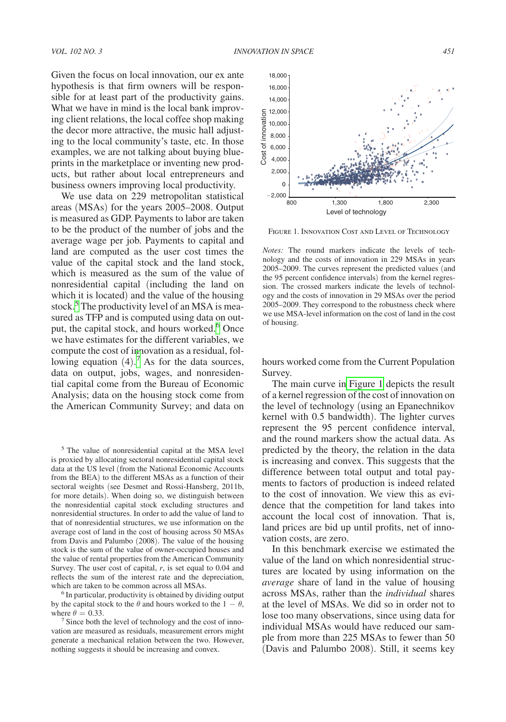Given the focus on local innovation, our ex ante hypothesis is that firm owners will be responsible for at least part of the productivity gains. What we have in mind is the local bank improving client relations, the local coffee shop making the decor more attractive, the music hall adjusting to the local community's taste, etc. In those examples, we are not talking about buying blueprints in the marketplace or inventing new products, but rather about local entrepreneurs and business owners improving local productivity.

We use data on 229 metropolitan statistical areas (MSAs) for the years 2005–2008. Output is measured as GDP. Payments to labor are taken to be the product of the number of jobs and the average wage per job. Payments to capital and land are computed as the user cost times the value of the capital stock and the land stock, which is measured as the sum of the value of nonresidential capital (including the land on which it is located) and the value of the housing stock.<sup>[5](#page-4-0)</sup> The productivity level of an MSA is measured as TFP and is computed using data on out-put, the capital stock, and hours worked.<sup>[6](#page-4-1)</sup> Once we have estimates for the different variables, we compute the cost of innovation as a residual, following equation  $(4)$ .<sup>[7](#page-4-2)</sup> As for the data sources, data on output, jobs, wages, and nonresidential capital come from the Bureau of Economic Analysis; data on the housing stock come from the American Community Survey; and data on

<span id="page-4-0"></span>5 The value of nonresidential capital at the MSA level is proxied by allocating sectoral nonresidential capital stock data at the US level (from the National Economic Accounts from the BEA) to the different MSAs as a function of their sectoral weights (see Desmet and Rossi-Hansberg, 2011b, for more details). When doing so, we distinguish between the nonresidential capital stock excluding structures and nonresidential structures. In order to add the value of land to that of nonresidential structures, we use information on the average cost of land in the cost of housing across 50 MSAs from Davis and Palumbo (2008). The value of the housing stock is the sum of the value of owner-occupied houses and the value of rental properties from the American Community Survey. The user cost of capital, *r*, is set equal to 0.04 and reflects the sum of the interest rate and the depreciation, which are taken to be common across all MSAs.<br><sup>6</sup> In particular, productivity is obtained by dividing output

<span id="page-4-1"></span>by the capital stock to the  $\theta$  and hours worked to the  $1 - \theta$ , where  $\theta = 0.33$ .

<span id="page-4-2"></span>Since both the level of technology and the cost of innovation are measured as residuals, measurement errors might generate a mechanical relation between the two. However, nothing suggests it should be increasing and convex.



Figure 1. Innovation Cost and Level of Technology

*Notes:* The round markers indicate the levels of technology and the costs of innovation in 229 MSAs in years 2005–2009. The curves represent the predicted values (and the 95 percent confidence intervals) from the kernel regression. The crossed markers indicate the levels of technology and the costs of innovation in 29 MSAs over the period 2005–2009. They correspond to the robustness check where we use MSA-level information on the cost of land in the cost of housing.

hours worked come from the Current Population Survey.

The main curve in Figure 1 depicts the result of a kernel regression of the cost of innovation on the level of technology (using an Epanechnikov kernel with 0.5 bandwidth). The lighter curves represent the 95 percent confidence interval, and the round markers show the actual data. As predicted by the theory, the relation in the data is increasing and convex. This suggests that the difference between total output and total payments to factors of production is indeed related to the cost of innovation. We view this as evidence that the competition for land takes into account the local cost of innovation. That is, land prices are bid up until profits, net of innovation costs, are zero.

In this benchmark exercise we estimated the value of the land on which nonresidential structures are located by using information on the *average* share of land in the value of housing across MSAs, rather than the *individual* shares at the level of MSAs. We did so in order not to lose too many observations, since using data for individual MSAs would have reduced our sample from more than 225 MSAs to fewer than 50 (Davis and Palumbo 2008). Still, it seems key